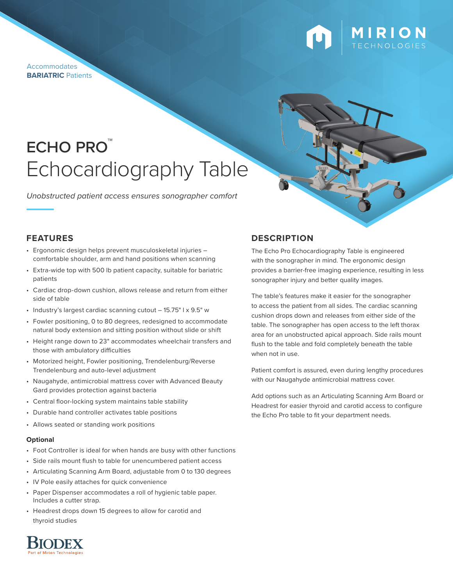**Accommodates BARIATRIC** Patients



# **ECHO PRO** Echocardiography Table

*Unobstructed patient access ensures sonographer comfort*

## **FEATURES**

- Ergonomic design helps prevent musculoskeletal injuries comfortable shoulder, arm and hand positions when scanning
- Extra-wide top with 500 lb patient capacity, suitable for bariatric patients
- Cardiac drop-down cushion, allows release and return from either side of table
- Industry's largest cardiac scanning cutout 15.75" l x 9.5" w
- Fowler positioning, 0 to 80 degrees, redesigned to accommodate natural body extension and sitting position without slide or shift
- Height range down to 23" accommodates wheelchair transfers and those with ambulatory difficulties
- Motorized height, Fowler positioning, Trendelenburg/Reverse Trendelenburg and auto-level adjustment
- Naugahyde, antimicrobial mattress cover with Advanced Beauty Gard provides protection against bacteria
- Central floor-locking system maintains table stability
- Durable hand controller activates table positions
- Allows seated or standing work positions

## **Optional**

- Foot Controller is ideal for when hands are busy with other functions
- Side rails mount flush to table for unencumbered patient access
- Articulating Scanning Arm Board, adjustable from 0 to 130 degrees
- IV Pole easily attaches for quick convenience
- Paper Dispenser accommodates a roll of hygienic table paper. Includes a cutter strap.
- Headrest drops down 15 degrees to allow for carotid and thyroid studies

## **DESCRIPTION**

The Echo Pro Echocardiography Table is engineered with the sonographer in mind. The ergonomic design provides a barrier-free imaging experience, resulting in less sonographer injury and better quality images.

The table's features make it easier for the sonographer to access the patient from all sides. The cardiac scanning cushion drops down and releases from either side of the table. The sonographer has open access to the left thorax area for an unobstructed apical approach. Side rails mount flush to the table and fold completely beneath the table when not in use.

Patient comfort is assured, even during lengthy procedures with our Naugahyde antimicrobial mattress cover.

Add options such as an Articulating Scanning Arm Board or Headrest for easier thyroid and carotid access to configure the Echo Pro table to fit your department needs.